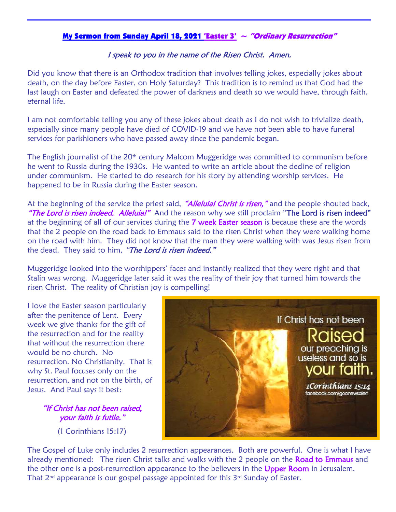## My Sermon from Sunday April 18, 2021 'Easter  $3' \sim$  "Ordinary Resurrection"

## I speak to you in the name of the Risen Christ. Amen.

Did you know that there is an Orthodox tradition that involves telling jokes, especially jokes about death, on the day before Easter, on Holy Saturday? This tradition is to remind us that God had the last laugh on Easter and defeated the power of darkness and death so we would have, through faith, eternal life.

I am not comfortable telling you any of these jokes about death as I do not wish to trivialize death, especially since many people have died of COVID-19 and we have not been able to have funeral services for parishioners who have passed away since the pandemic began.

The English journalist of the  $20<sup>th</sup>$  century Malcom Muggeridge was committed to communism before he went to Russia during the 1930s. He wanted to write an article about the decline of religion under communism. He started to do research for his story by attending worship services. He happened to be in Russia during the Easter season.

At the beginning of the service the priest said, "Alleluia! Christ is risen," and the people shouted back, "The Lord is risen indeed. Alleluia!" And the reason why we still proclaim "The Lord is risen indeed" at the beginning of all of our services during the 7 week Easter season is because these are the words that the 2 people on the road back to Emmaus said to the risen Christ when they were walking home on the road with him. They did not know that the man they were walking with was Jesus risen from the dead. They said to him, "The Lord is risen indeed."

Muggeridge looked into the worshippers' faces and instantly realized that they were right and that Stalin was wrong. Muggeridge later said it was the reality of their joy that turned him towards the risen Christ. The reality of Christian joy is compelling!

I love the Easter season particularly after the penitence of Lent. Every week we give thanks for the gift of the resurrection and for the reality that without the resurrection there would be no church. No resurrection. No Christianity. That is why St. Paul focuses only on the resurrection, and not on the birth, of Jesus. And Paul says it best:

## "If Christ has not been raised, your faith is futile."

(1 Corinthians 15:17)



The Gospel of Luke only includes 2 resurrection appearances. Both are powerful. One is what I have already mentioned: The risen Christ talks and walks with the 2 people on the Road to Emmaus and the other one is a post-resurrection appearance to the believers in the Upper Room in Jerusalem. That  $2^{nd}$  appearance is our gospel passage appointed for this  $3^{rd}$  Sunday of Easter.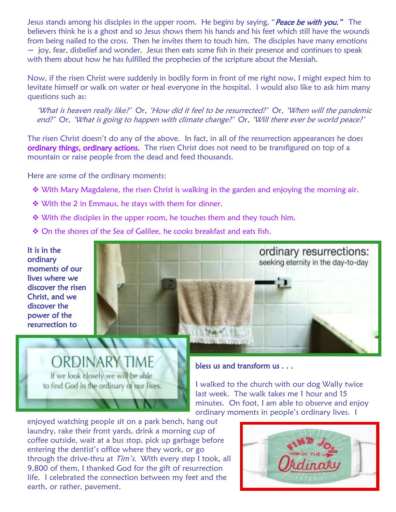Jesus stands among his disciples in the upper room. He begins by saying, "Peace be with you." The believers think he is a ghost and so Jesus shows them his hands and his feet which still have the wounds from being nailed to the cross. Then he invites them to touch him. The disciples have many emotions  $\sim$  joy, fear, disbelief and wonder. Jesus then eats some fish in their presence and continues to speak with them about how he has fulfilled the prophecies of the scripture about the Messiah.

Now, if the risen Christ were suddenly in bodily form in front of me right now, I might expect him to levitate himself or walk on water or heal everyone in the hospital. I would also like to ask him many questions such as:

'What is heaven really like?' Or, 'How did it feel to be resurrected?' Or, 'When will the pandemic end?' Or, 'What is going to happen with climate change?' Or, 'Will there ever be world peace?'

The risen Christ doesn't do any of the above. In fact, in all of the resurrection appearances he does ordinary things, ordinary actions. The risen Christ does not need to be transfigured on top of a mountain or raise people from the dead and feed thousands.

Here are some of the ordinary moments:

- ◆ With Mary Magdalene, the risen Christ is walking in the garden and enjoying the morning air.
- ◆ With the 2 in Emmaus, he stays with them for dinner.
- $\cdot$  With the disciples in the upper room, he touches them and they touch him.
- On the shores of the Sea of Galilee, he cooks breakfast and eats fish.

It is in the ordinary moments of our lives where we discover the risen Christ, and we discover the power of the resurrection to Ĩ



**ORDINARY TIME** If we look closely we will be able to find God in the ordinary of our lives.

## $\overline{a}$ bless us and transform us . . .

I walked to the church with our dog Wally twice last week. The walk takes me 1 hour and 15 minutes. On foot, I am able to observe and enjoy ordinary moments in people's ordinary lives. I

enjoyed watching people sit on a park bench, hang out laundry, rake their front yards, drink a morning cup of coffee outside, wait at a bus stop, pick up garbage before entering the dentist's office where they work, or go through the drive-thru at Tim's. With every step I took, all 9,800 of them, I thanked God for the gift of resurrection life. I celebrated the connection between my feet and the earth, or rather, pavement.